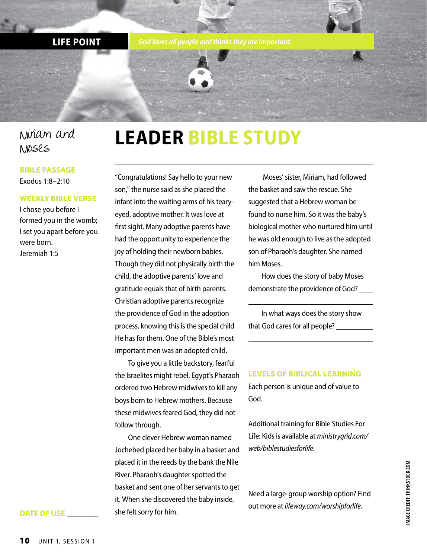**LIFE POINT** *God loves all people and thinks they are important.*

### Miriam and Moses

#### **BIBLE PASSAGE** Exodus 1:8–2:10

#### **WEEKLY BIBLE VERSE**

I chose you before I formed you in the womb; I set you apart before you were born. Jeremiah 1:5

# **LEADER BIBLE STUDY**

"Congratulations! Say hello to your new son," the nurse said as she placed the infant into the waiting arms of his tearyeyed, adoptive mother. It was love at first sight. Many adoptive parents have had the opportunity to experience the joy of holding their newborn babies. Though they did not physically birth the child, the adoptive parents' love and gratitude equals that of birth parents. Christian adoptive parents recognize the providence of God in the adoption process, knowing this is the special child He has for them. One of the Bible's most important men was an adopted child.

To give you a little backstory, fearful the Israelites might rebel, Egypt's Pharaoh ordered two Hebrew midwives to kill any boys born to Hebrew mothers. Because these midwives feared God, they did not follow through.

One clever Hebrew woman named Jochebed placed her baby in a basket and placed it in the reeds by the bank the Nile River. Pharaoh's daughter spotted the basket and sent one of her servants to get it. When she discovered the baby inside, she felt sorry for him.

 Moses' sister, Miriam, had followed the basket and saw the rescue. She suggested that a Hebrew woman be found to nurse him. So it was the baby's biological mother who nurtured him until he was old enough to live as the adopted son of Pharaoh's daughter. She named him Moses.

How does the story of baby Moses demonstrate the providence of God?

In what ways does the story show that God cares for all people?

#### **LEVELS OF BIBLICAL LEARNING**

Each person is unique and of value to God.

Additional training for Bible Studies For Life: Kids is available at *ministrygrid.com/ web/biblestudiesforlife*.

Need a large-group worship option? Find out more at *lifeway.com/worshipforlife.*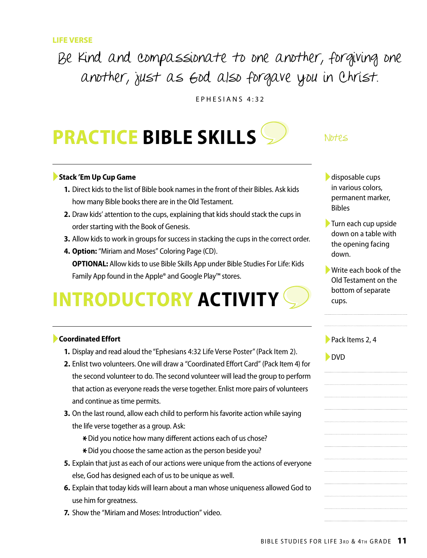### Be kind and compassionate to one another, forgiving one another, just as God also forgave you in Christ.

EPHESIANS 4:32

# **PRACTICE BIBLE SKILLS**

#### ►**Stack 'Em Up Cup Game**

- **1.** Direct kids to the list of Bible book names in the front of their Bibles. Ask kids how many Bible books there are in the Old Testament.
- **2.** Draw kids' attention to the cups, explaining that kids should stack the cups in order starting with the Book of Genesis.
- **3.** Allow kids to work in groups for success in stacking the cups in the correct order.
- **4. Option:** "Miriam and Moses" Coloring Page (CD). **OPTIONAL:** Allow kids to use Bible Skills App under Bible Studies For Life: Kids Family App found in the Apple® and Google Play™ stores.

# **INTRODUCTORY ACTIVITY**

#### ►**Coordinated Effort**

- **1.** Display and read aloud the "Ephesians 4:32 Life Verse Poster" (Pack Item 2).
- **2.** Enlist two volunteers. One will draw a "Coordinated Effort Card" (Pack Item 4) for the second volunteer to do. The second volunteer will lead the group to perform that action as everyone reads the verse together. Enlist more pairs of volunteers and continue as time permits.
- **3.** On the last round, allow each child to perform his favorite action while saying the life verse together as a group. Ask:
	- \* Did you notice how many different actions each of us chose?
	- \* Did you choose the same action as the person beside you?
- **5.** Explain that just as each of our actions were unique from the actions of everyone else, God has designed each of us to be unique as well.
- **6.** Explain that today kids will learn about a man whose uniqueness allowed God to use him for greatness.
- **7.** Show the "Miriam and Moses: Introduction" video.

#### Notes

- $\blacktriangleright$  disposable cups in various colors, permanent marker, Bibles
- ►Turn each cup upside down on a table with the opening facing down.
- ►Write each book of the Old Testament on the bottom of separate cups.

| Pack Items 2, 4 |  |
|-----------------|--|
|-----------------|--|

►DVD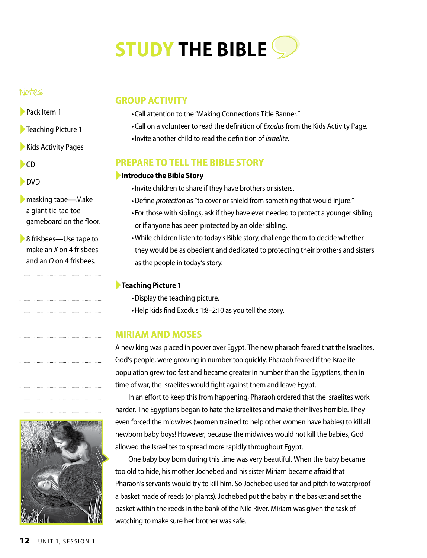# **STUDY THE BIBLE**

#### Notes

- ►Pack Item 1
- ►Teaching Picture 1
- ▶ Kids Activity Pages
- ►CD
- ►DVD
- ►masking tape—Make a giant tic-tac-toe gameboard on the floor.
- ▶ 8 frisbees—Use tape to make an *X* on 4 frisbees and an *O* on 4 frisbees.

## **GROUP ACTIVITY**

- •Call attention to the "Making Connections Title Banner."
- •Call on a volunteer to read the definition of *Exodus* from the Kids Activity Page.
- •Invite another child to read the definition of *Israelite*.

#### **PREPARE TO TELL THE BIBLE STORY**

#### ►**Introduce the Bible Story**

- •Invite children to share if they have brothers or sisters.
- •Define *protection* as"to cover or shield from something that would injure."
- •For those with siblings, ask if they have ever needed to protect a younger sibling or if anyone has been protected by an older sibling.
- •While children listen to today's Bible story, challenge them to decide whether they would be as obedient and dedicated to protecting their brothers and sisters as the people in today's story.

#### ►**Teaching Picture 1**

- •Display the teaching picture.
- •Help kids find Exodus 1:8–2:10 as you tell the story.

#### **MIRIAM AND MOSES**

A new king was placed in power over Egypt. The new pharaoh feared that the Israelites, God's people, were growing in number too quickly. Pharaoh feared if the Israelite population grew too fast and became greater in number than the Egyptians, then in time of war, the Israelites would fight against them and leave Egypt.

In an effort to keep this from happening, Pharaoh ordered that the Israelites work harder. The Egyptians began to hate the Israelites and make their lives horrible. They even forced the midwives (women trained to help other women have babies) to kill all newborn baby boys! However, because the midwives would not kill the babies, God allowed the Israelites to spread more rapidly throughout Egypt.

One baby boy born during this time was very beautiful. When the baby became too old to hide, his mother Jochebed and his sister Miriam became afraid that Pharaoh's servants would try to kill him. So Jochebed used tar and pitch to waterproof a basket made of reeds (or plants). Jochebed put the baby in the basket and set the basket within the reeds in the bank of the Nile River. Miriam was given the task of watching to make sure her brother was safe.

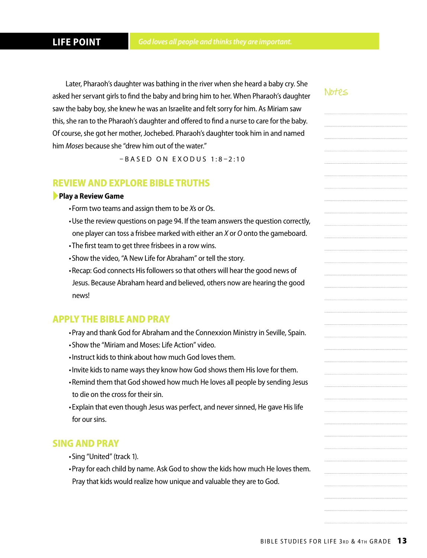Later, Pharaoh's daughter was bathing in the river when she heard a baby cry. She asked her servant girls to find the baby and bring him to her. When Pharaoh's daughter saw the baby boy, she knew he was an Israelite and felt sorry for him. As Miriam saw this, she ran to the Pharaoh's daughter and offered to find a nurse to care for the baby. Of course, she got her mother, Jochebed. Pharaoh's daughter took him in and named him *Moses* because she "drew him out of the water."

 $-$ BASED ON EXODUS 1:8-2:10

#### **REVIEW AND EXPLORE BIBLE TRUTHS**

#### ►**Play a Review Game**

- •Form two teams and assign them to be *X*s or *O*s.
- •Use the review questions on page 94. If the team answers the question correctly, one player can toss a frisbee marked with either an *X* or *O* onto the gameboard.
- •The first team to get three frisbees in a row wins.
- •Show the video, "A New Life for Abraham" or tell the story.
- •Recap: God connects His followers so that others will hear the good news of Jesus. Because Abraham heard and believed, others now are hearing the good news!

#### **APPLY THE BIBLE AND PRAY**

- •Pray and thank God for Abraham and the Connexxion Ministry in Seville, Spain.
- •Show the "Miriam and Moses: Life Action" video.
- •Instruct kids to think about how much God loves them.
- •Invite kids to name ways they know how God shows them His love for them.
- •Remind them that God showed how much He loves all people by sending Jesus to die on the cross for their sin.
- •Explain that even though Jesus was perfect, and never sinned, He gave His life for our sins.

#### **SING AND PRAY**

- •Sing "United" (track 1).
- •Pray for each child by name. Ask God to show the kids how much He loves them. Pray that kids would realize how unique and valuable they are to God.

#### Notes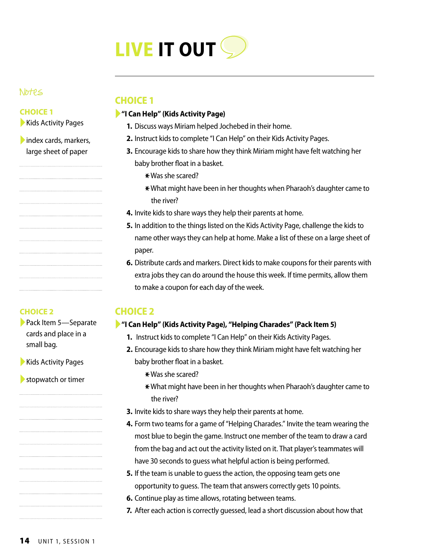

#### Notes

#### **CHOICE 1**

▶ Kids Activity Pages

►index cards, markers, large sheet of paper

#### **CHOICE 2**

►Pack Item 5—Separate cards and place in a small bag.

►Kids Activity Pages

 $\blacktriangleright$  stopwatch or timer

#### **CHOICE 1**

#### ►**"I Can Help" (Kids Activity Page)**

- **1.** Discuss ways Miriam helped Jochebed in their home.
- **2.** Instruct kids to complete "I Can Help" on their Kids Activity Pages.
- **3.** Encourage kids to share how they think Miriam might have felt watching her baby brother float in a basket.
	- \*Was she scared?
	- \*What might have been in her thoughts when Pharaoh's daughter came to the river?
- **4.** Invite kids to share ways they help their parents at home.
- **5.** In addition to the things listed on the Kids Activity Page, challenge the kids to name other ways they can help at home. Make a list of these on a large sheet of paper.
- **6.** Distribute cards and markers. Direct kids to make coupons for their parents with extra jobs they can do around the house this week. If time permits, allow them to make a coupon for each day of the week.

#### **CHOICE 2**

#### ►**"I Can Help" (Kids Activity Page), "Helping Charades" (Pack Item 5)**

- **1.** Instruct kids to complete "I Can Help" on their Kids Activity Pages.
- **2.** Encourage kids to share how they think Miriam might have felt watching her baby brother float in a basket.
	- $*$  Was she scared?
	- \*What might have been in her thoughts when Pharaoh's daughter came to the river?
- **3.** Invite kids to share ways they help their parents at home.
- **4.** Form two teams for a game of "Helping Charades." Invite the team wearing the most blue to begin the game. Instruct one member of the team to draw a card from the bag and act out the activity listed on it. That player's teammates will have 30 seconds to guess what helpful action is being performed.
- **5.** If the team is unable to guess the action, the opposing team gets one opportunity to guess. The team that answers correctly gets 10 points.
- **6.** Continue play as time allows, rotating between teams.
- **7.** After each action is correctly guessed, lead a short discussion about how that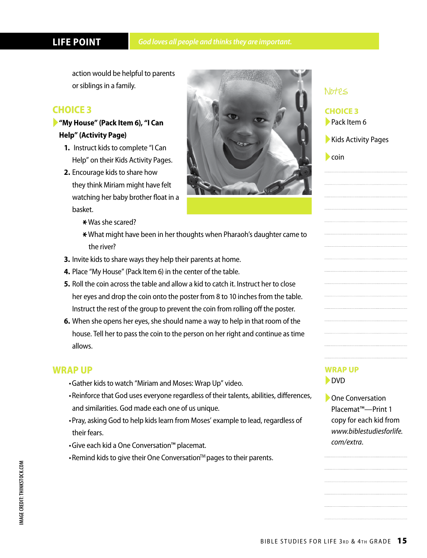#### **LIFE POINT**

action would be helpful to parents or siblings in a family.

#### **CHOICE 3**

#### ►**"My House" (Pack Item 6), "I Can Help" (Activity Page)**

- **1.** Instruct kids to complete "I Can Help" on their Kids Activity Pages.
- **2.** Encourage kids to share how
- they think Miriam might have felt watching her baby brother float in a basket.



- $*$  Was she scared?
- \*What might have been in her thoughts when Pharaoh's daughter came to the river?
- **3.** Invite kids to share ways they help their parents at home.
- **4.** Place "My House" (Pack Item 6) in the center of the table.
- **5.** Roll the coin across the table and allow a kid to catch it. Instruct her to close her eyes and drop the coin onto the poster from 8 to 10 inches from the table. Instruct the rest of the group to prevent the coin from rolling off the poster.
- **6.** When she opens her eyes, she should name a way to help in that room of the house. Tell her to pass the coin to the person on her right and continue as time allows.

#### **WRAP UP**

- •Gather kids to watch "Miriam and Moses: Wrap Up" video.
- •Reinforce that God uses everyone regardless of their talents, abilities, differences, and similarities. God made each one of us unique.
- •Pray, asking God to help kids learn from Moses' example to lead, regardless of their fears.
- •Give each kid a One Conversation™ placemat.
- Remind kids to give their One Conversation<sup>™</sup> pages to their parents.

#### **WRAP UP** ►DVD

Notes

 $\blacktriangleright$  coin

**CHOICE 3** ►Pack Item 6

▶ Kids Activity Pages

▶ One Conversation Placemat™—Print 1 copy for each kid from *www.biblestudiesforlife. com/extra*.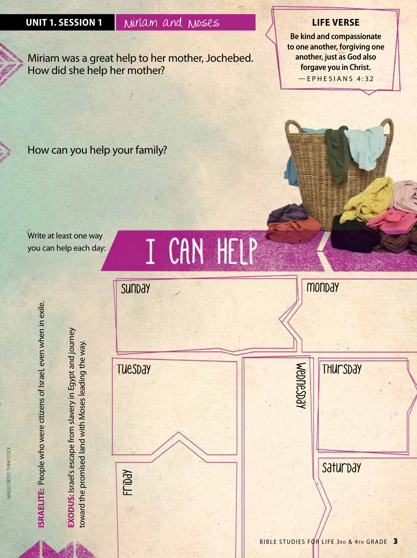### **UNIT 1. SESSION 1** Miriam and Moses **LIFE VERSE**

Miriam was a great help to her mother, Jochebed. How did she help her mother?

**Be kind and compassionate to one another, forgiving one another, just as God also forgave you in Christ.** —EPHESIANS 4:32

How can you help your family?

Write at least one way you can help each day:





**ISRAELITE:** People who were citizens of Israel, even when in exile.<br>**EXODUS:** Israel's escape from slavery in Egypt and journey<br>toward the promised land with Moses leading the way.

IMAGE CREDIT: THINKSTOCK

MAGE CREDIT: THINKSTOCK